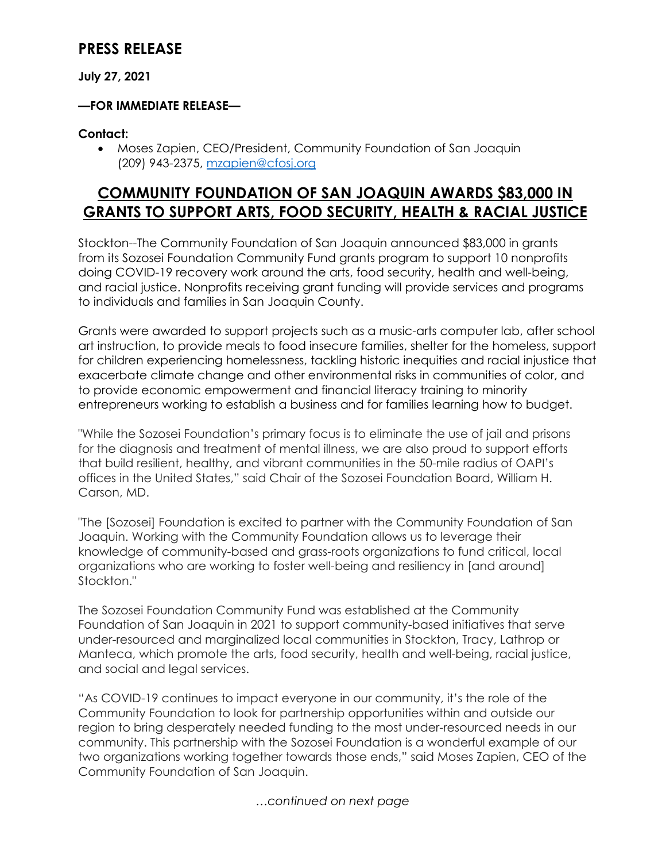## **PRESS RELEASE**

#### **July 27, 2021**

#### **—FOR IMMEDIATE RELEASE—**

#### **Contact:**

• Moses Zapien, CEO/President, Community Foundation of San Joaquin (209) 943-2375, [mzapien@cfosj.org](mailto:mzapien@cfosj.org)

## **COMMUNITY FOUNDATION OF SAN JOAQUIN AWARDS \$83,000 IN GRANTS TO SUPPORT ARTS, FOOD SECURITY, HEALTH & RACIAL JUSTICE**

Stockton--The Community Foundation of San Joaquin announced \$83,000 in grants from its Sozosei Foundation Community Fund grants program to support 10 nonprofits doing COVID-19 recovery work around the arts, food security, health and well-being, and racial justice. Nonprofits receiving grant funding will provide services and programs to individuals and families in San Joaquin County.

Grants were awarded to support projects such as a music-arts computer lab, after school art instruction, to provide meals to food insecure families, shelter for the homeless, support for children experiencing homelessness, tackling historic inequities and racial injustice that exacerbate climate change and other environmental risks in communities of color, and to provide economic empowerment and financial literacy training to minority entrepreneurs working to establish a business and for families learning how to budget.

"While the Sozosei Foundation's primary focus is to eliminate the use of jail and prisons for the diagnosis and treatment of mental illness, we are also proud to support efforts that build resilient, healthy, and vibrant communities in the 50-mile radius of OAPI's offices in the United States," said Chair of the Sozosei Foundation Board, William H. Carson, MD.

"The [Sozosei] Foundation is excited to partner with the Community Foundation of San Joaquin. Working with the Community Foundation allows us to leverage their knowledge of community-based and grass-roots organizations to fund critical, local organizations who are working to foster well-being and resiliency in [and around] Stockton."

The Sozosei Foundation Community Fund was established at the Community Foundation of San Joaquin in 2021 to support community-based initiatives that serve under-resourced and marginalized local communities in Stockton, Tracy, Lathrop or Manteca, which promote the arts, food security, health and well-being, racial justice, and social and legal services.

"As COVID-19 continues to impact everyone in our community, it's the role of the Community Foundation to look for partnership opportunities within and outside our region to bring desperately needed funding to the most under-resourced needs in our community. This partnership with the Sozosei Foundation is a wonderful example of our two organizations working together towards those ends," said Moses Zapien, CEO of the Community Foundation of San Joaquin.

*…continued on next page*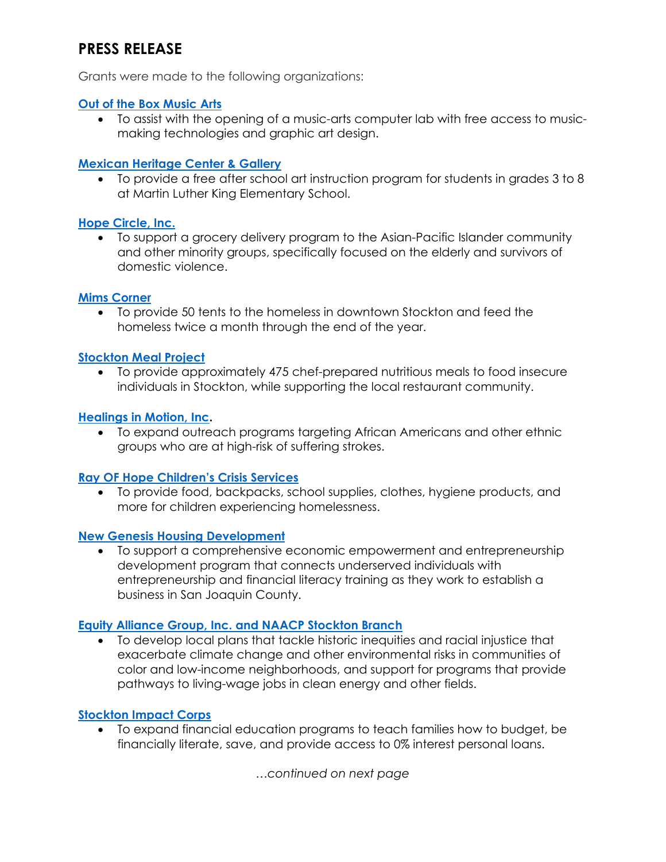# **PRESS RELEASE**

Grants were made to the following organizations:

#### **[Out of the Box Music Arts](https://www.outoftheboxmusicarts.com/)**

• To assist with the opening of a music-arts computer lab with free access to musicmaking technologies and graphic art design.

#### **[Mexican Heritage Center & Gallery](https://mexicanheritagecenter.org/)**

• To provide a free after school art instruction program for students in grades 3 to 8 at Martin Luther King Elementary School.

#### **[Hope Circle, Inc.](https://www.thehopecircle.org/)**

• To support a grocery delivery program to the Asian-Pacific Islander community and other minority groups, specifically focused on the elderly and survivors of domestic violence.

#### **[Mims Corner](https://www.mimscorner.org/)**

• To provide 50 tents to the homeless in downtown Stockton and feed the homeless twice a month through the end of the year.

#### **[Stockton Meal Project](https://cfosj.org/stockton-meal-project/)**

• To provide approximately 475 chef-prepared nutritious meals to food insecure individuals in Stockton, while supporting the local restaurant community.

#### **[Healings in Motion, Inc.](https://www.healingsinmotion.org/)**

• To expand outreach programs targeting African Americans and other ethnic groups who are at high-risk of suffering strokes.

#### **[Ray OF Hope Children's Crisis Services](https://www.facebook.com/Rayofhopekids/)**

• To provide food, backpacks, school supplies, clothes, hygiene products, and more for children experiencing homelessness.

#### **[New Genesis Housing Development](https://newgenesiscorporation.org/)**

• To support a comprehensive economic empowerment and entrepreneurship development program that connects underserved individuals with entrepreneurship and financial literacy training as they work to establish a business in San Joaquin County.

#### **[Equity Alliance Group, Inc. and NAACP Stockton Branch](https://equityalliancegrp.com/)**

• To develop local plans that tackle historic inequities and racial injustice that exacerbate climate change and other environmental risks in communities of color and low-income neighborhoods, and support for programs that provide pathways to living-wage jobs in clean energy and other fields.

#### **[Stockton Impact Corps](http://www.stocktonimpactcorps.org/)**

• To expand financial education programs to teach families how to budget, be financially literate, save, and provide access to 0% interest personal loans.

*…continued on next page*